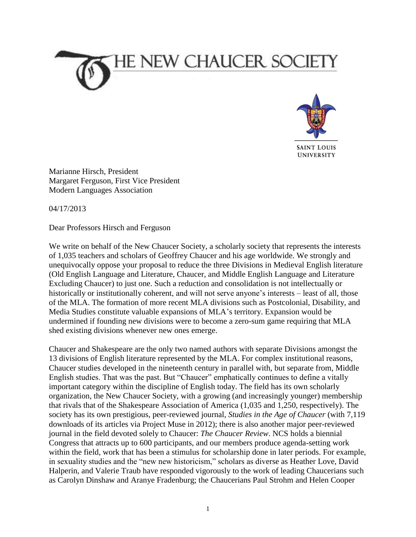



**UNIVERSITY** 

Marianne Hirsch, President Margaret Ferguson, First Vice President Modern Languages Association

04/17/2013

Dear Professors Hirsch and Ferguson

We write on behalf of the New Chaucer Society, a scholarly society that represents the interests of 1,035 teachers and scholars of Geoffrey Chaucer and his age worldwide. We strongly and unequivocally oppose your proposal to reduce the three Divisions in Medieval English literature (Old English Language and Literature, Chaucer, and Middle English Language and Literature Excluding Chaucer) to just one. Such a reduction and consolidation is not intellectually or historically or institutionally coherent, and will not serve anyone's interests – least of all, those of the MLA. The formation of more recent MLA divisions such as Postcolonial, Disability, and Media Studies constitute valuable expansions of MLA's territory. Expansion would be undermined if founding new divisions were to become a zero-sum game requiring that MLA shed existing divisions whenever new ones emerge.

Chaucer and Shakespeare are the only two named authors with separate Divisions amongst the 13 divisions of English literature represented by the MLA. For complex institutional reasons, Chaucer studies developed in the nineteenth century in parallel with, but separate from, Middle English studies. That was the past. But "Chaucer" emphatically continues to define a vitally important category within the discipline of English today. The field has its own scholarly organization, the New Chaucer Society, with a growing (and increasingly younger) membership that rivals that of the Shakespeare Association of America (1,035 and 1,250, respectively). The society has its own prestigious, peer-reviewed journal, *Studies in the Age of Chaucer* (with 7,119 downloads of its articles via Project Muse in 2012); there is also another major peer-reviewed journal in the field devoted solely to Chaucer: *The Chaucer Review*. NCS holds a biennial Congress that attracts up to 600 participants, and our members produce agenda-setting work within the field, work that has been a stimulus for scholarship done in later periods. For example, in sexuality studies and the "new new historicism," scholars as diverse as Heather Love, David Halperin, and Valerie Traub have responded vigorously to the work of leading Chaucerians such as Carolyn Dinshaw and Aranye Fradenburg; the Chaucerians Paul Strohm and Helen Cooper